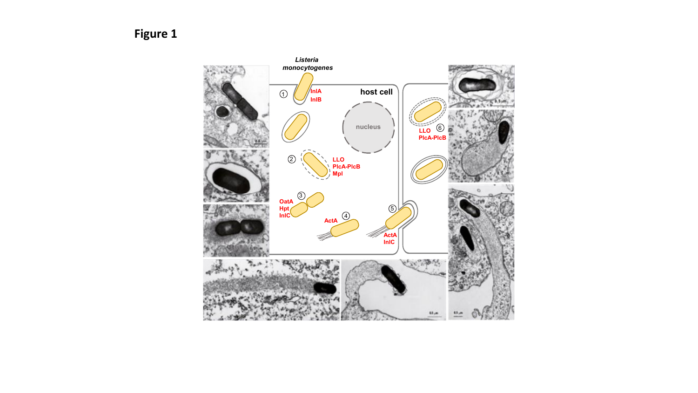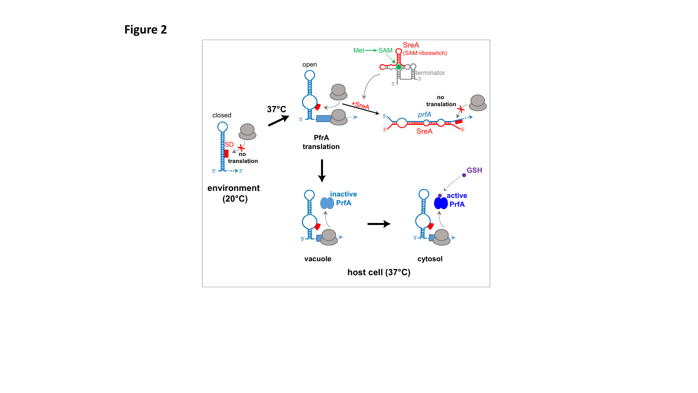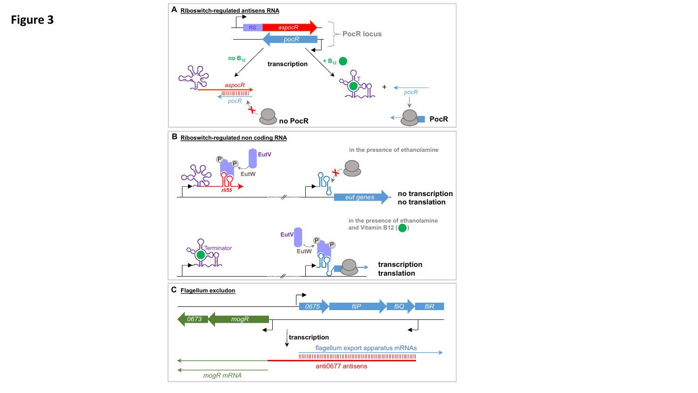